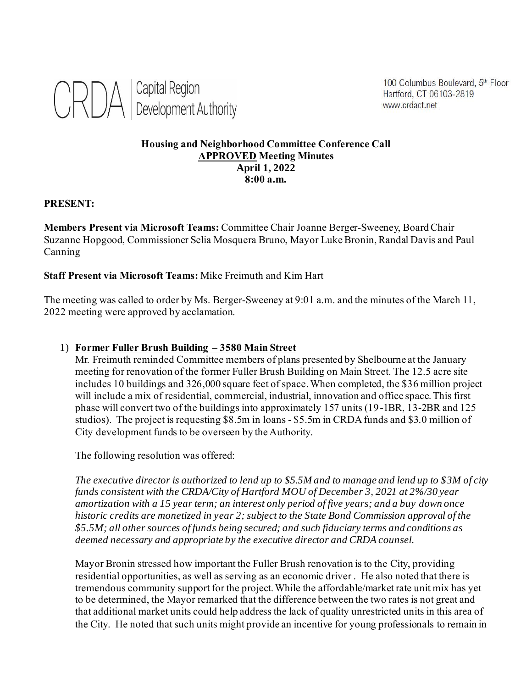

100 Columbus Boulevard, 5th Floor Hartford, CT 06103-2819 www.crdact.net

### **Housing and Neighborhood Committee Conference Call APPROVED Meeting Minutes April 1, 2022 8:00 a.m.**

#### **PRESENT:**

**Members Present via Microsoft Teams:** Committee Chair Joanne Berger-Sweeney, Board Chair Suzanne Hopgood, Commissioner Selia Mosquera Bruno, Mayor Luke Bronin, Randal Davis and Paul Canning

#### **Staff Present via Microsoft Teams:** Mike Freimuth and Kim Hart

The meeting was called to order by Ms. Berger-Sweeney at 9:01 a.m. and the minutes of the March 11, 2022 meeting were approved by acclamation.

#### 1) **Former Fuller Brush Building – 3580 Main Street**

Mr. Freimuth reminded Committee members of plans presented by Shelbourne at the January meeting for renovation of the former Fuller Brush Building on Main Street. The 12.5 acre site includes 10 buildings and 326,000 square feet of space. When completed, the \$36 million project will include a mix of residential, commercial, industrial, innovation and office space. This first phase will convert two of the buildings into approximately 157 units (19-1BR, 13-2BR and 125 studios). The project is requesting \$8.5m in loans - \$5.5m in CRDA funds and \$3.0 million of City development funds to be overseen by the Authority.

The following resolution was offered:

*The executive director is authorized to lend up to \$5.5M and to manage and lend up to \$3M of city funds consistent with the CRDA/City of Hartford MOU of December 3, 2021 at 2%/30 year amortization with a 15 year term; an interest only period of five years; and a buy down once historic credits are monetized in year 2; subject to the State Bond Commission approval of the \$5.5M; all other sources of funds being secured; and such fiduciary terms and conditions as deemed necessary and appropriate by the executive director and CRDA counsel.* 

Mayor Bronin stressed how important the Fuller Brush renovation is to the City, providing residential opportunities, as well as serving as an economic driver . He also noted that there is tremendous community support for the project. While the affordable/market rate unit mix has yet to be determined, the Mayor remarked that the difference between the two rates is not great and that additional market units could help address the lack of quality unrestricted units in this area of the City. He noted that such units might provide an incentive for young professionals to remain in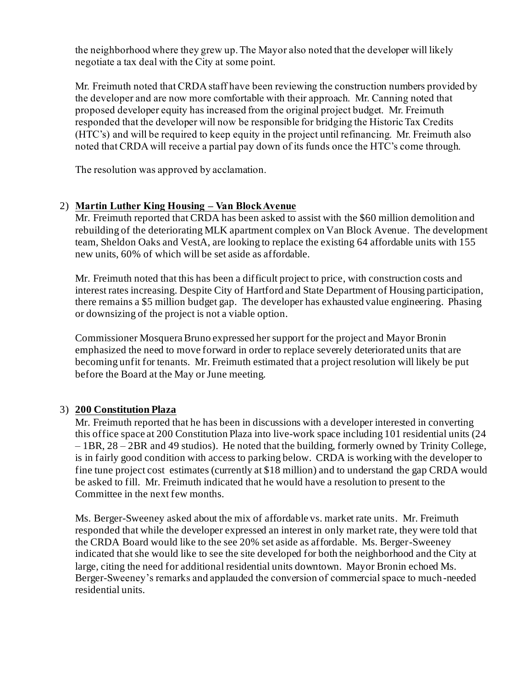the neighborhood where they grew up. The Mayor also noted that the developer will likely negotiate a tax deal with the City at some point.

Mr. Freimuth noted that CRDA staff have been reviewing the construction numbers provided by the developer and are now more comfortable with their approach. Mr. Canning noted that proposed developer equity has increased from the original project budget. Mr. Freimuth responded that the developer will now be responsible for bridging the Historic Tax Credits (HTC's) and will be required to keep equity in the project until refinancing. Mr. Freimuth also noted that CRDA will receive a partial pay down of its funds once the HTC's come through.

The resolution was approved by acclamation.

## 2) **Martin Luther King Housing – Van Block Avenue**

Mr. Freimuth reported that CRDA has been asked to assist with the \$60 million demolition and rebuilding of the deteriorating MLK apartment complex on Van Block Avenue. The development team, Sheldon Oaks and VestA, are looking to replace the existing 64 affordable units with 155 new units, 60% of which will be set aside as affordable.

Mr. Freimuth noted that this has been a difficult project to price, with construction costs and interest rates increasing. Despite City of Hartford and State Department of Housing participation, there remains a \$5 million budget gap. The developer has exhausted value engineering. Phasing or downsizing of the project is not a viable option.

Commissioner Mosquera Bruno expressed her support for the project and Mayor Bronin emphasized the need to move forward in order to replace severely deteriorated units that are becoming unfit for tenants. Mr. Freimuth estimated that a project resolution will likely be put before the Board at the May or June meeting.

## 3) **200 Constitution Plaza**

Mr. Freimuth reported that he has been in discussions with a developer interested in converting this office space at 200 Constitution Plaza into live-work space including 101 residential units (24 – 1BR, 28 – 2BR and 49 studios). He noted that the building, formerly owned by Trinity College, is in fairly good condition with access to parking below. CRDA is working with the developer to fine tune project cost estimates (currently at \$18 million) and to understand the gap CRDA would be asked to fill. Mr. Freimuth indicated that he would have a resolution to present to the Committee in the next few months.

Ms. Berger-Sweeney asked about the mix of affordable vs. market rate units. Mr. Freimuth responded that while the developer expressed an interest in only market rate, they were told that the CRDA Board would like to the see 20% set aside as affordable. Ms. Berger-Sweeney indicated that she would like to see the site developed for both the neighborhood and the City at large, citing the need for additional residential units downtown. Mayor Bronin echoed Ms. Berger-Sweeney's remarks and applauded the conversion of commercial space to much-needed residential units.